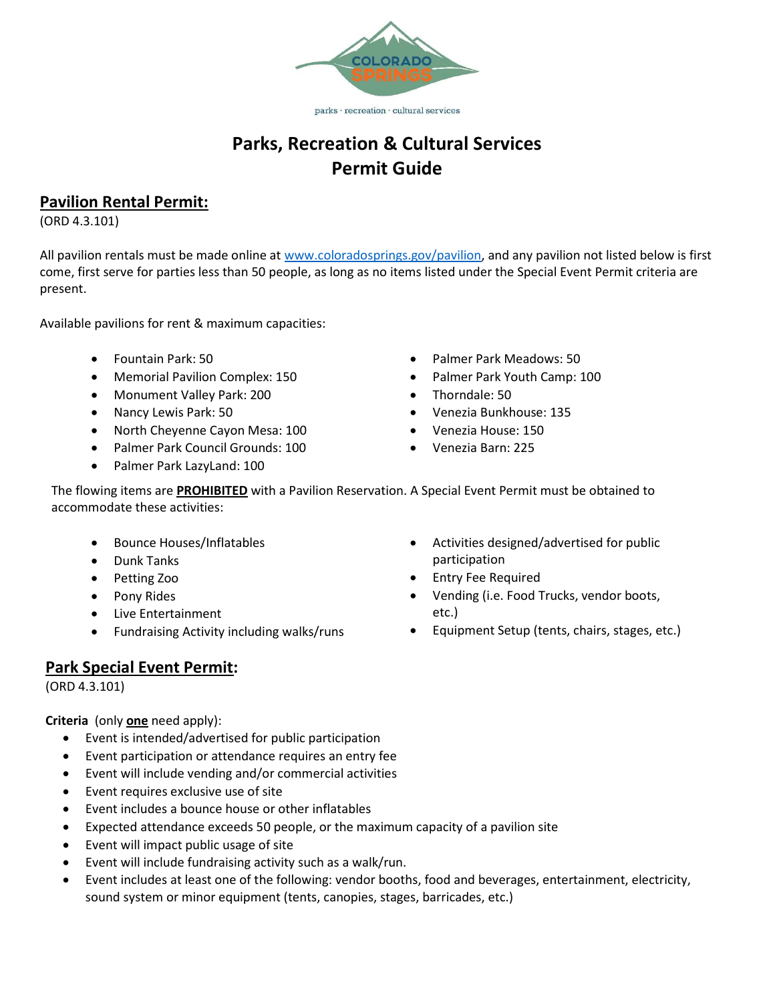

parks · recreation · cultural services

# Parks, Recreation & Cultural Services Permit Guide

# Pavilion Rental Permit:

(ORD 4.3.101)

All pavilion rentals must be made online at www.coloradosprings.gov/pavilion, and any pavilion not listed below is first come, first serve for parties less than 50 people, as long as no items listed under the Special Event Permit criteria are present.

Available pavilions for rent & maximum capacities:

- Fountain Park: 50
- Memorial Pavilion Complex: 150
- Monument Valley Park: 200
- Nancy Lewis Park: 50
- North Cheyenne Cayon Mesa: 100
- Palmer Park Council Grounds: 100
- Palmer Park LazyLand: 100
- Palmer Park Meadows: 50
- Palmer Park Youth Camp: 100
- Thorndale: 50
- Venezia Bunkhouse: 135
- Venezia House: 150
- Venezia Barn: 225

The flowing items are **PROHIBITED** with a Pavilion Reservation. A Special Event Permit must be obtained to accommodate these activities:

- Bounce Houses/Inflatables
- Dunk Tanks
- Petting Zoo
- Pony Rides
- Live Entertainment
- Fundraising Activity including walks/runs

## Park Special Event Permit:

(ORD 4.3.101)

Criteria (only one need apply):

- Event is intended/advertised for public participation
- Event participation or attendance requires an entry fee
- Event will include vending and/or commercial activities
- Event requires exclusive use of site
- Event includes a bounce house or other inflatables
- Expected attendance exceeds 50 people, or the maximum capacity of a pavilion site
- Event will impact public usage of site
- Event will include fundraising activity such as a walk/run.
- Event includes at least one of the following: vendor booths, food and beverages, entertainment, electricity, sound system or minor equipment (tents, canopies, stages, barricades, etc.)
- Activities designed/advertised for public participation
- Entry Fee Required
- Vending (i.e. Food Trucks, vendor boots, etc.)
- Equipment Setup (tents, chairs, stages, etc.)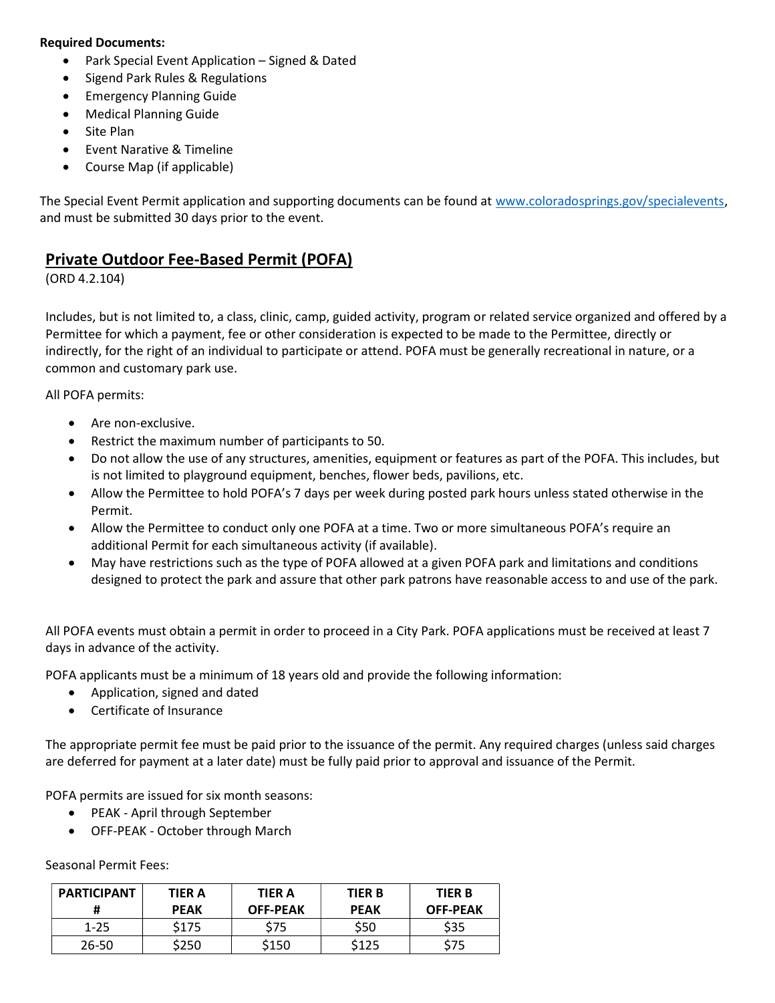#### Required Documents:

- Park Special Event Application Signed & Dated
- Sigend Park Rules & Regulations
- Emergency Planning Guide
- Medical Planning Guide
- Site Plan
- Event Narative & Timeline
- Course Map (if applicable)

The Special Event Permit application and supporting documents can be found at www.coloradosprings.gov/specialevents, and must be submitted 30 days prior to the event.

### Private Outdoor Fee-Based Permit (POFA)

(ORD 4.2.104)

Includes, but is not limited to, a class, clinic, camp, guided activity, program or related service organized and offered by a Permittee for which a payment, fee or other consideration is expected to be made to the Permittee, directly or indirectly, for the right of an individual to participate or attend. POFA must be generally recreational in nature, or a common and customary park use.

All POFA permits:

- Are non-exclusive.
- Restrict the maximum number of participants to 50.
- Do not allow the use of any structures, amenities, equipment or features as part of the POFA. This includes, but is not limited to playground equipment, benches, flower beds, pavilions, etc.
- Allow the Permittee to hold POFA's 7 days per week during posted park hours unless stated otherwise in the Permit.
- Allow the Permittee to conduct only one POFA at a time. Two or more simultaneous POFA's require an additional Permit for each simultaneous activity (if available).
- May have restrictions such as the type of POFA allowed at a given POFA park and limitations and conditions designed to protect the park and assure that other park patrons have reasonable access to and use of the park.

All POFA events must obtain a permit in order to proceed in a City Park. POFA applications must be received at least 7 days in advance of the activity.

POFA applicants must be a minimum of 18 years old and provide the following information:

- Application, signed and dated
- Certificate of Insurance

The appropriate permit fee must be paid prior to the issuance of the permit. Any required charges (unless said charges are deferred for payment at a later date) must be fully paid prior to approval and issuance of the Permit.

POFA permits are issued for six month seasons:

- PEAK April through September
- OFF-PEAK October through March

Seasonal Permit Fees:

| <b>PARTICIPANT</b><br># | <b>TIER A</b><br><b>PEAK</b> | <b>TIER A</b><br><b>OFF-PEAK</b> | <b>TIER B</b><br><b>PEAK</b> | <b>TIER B</b><br><b>OFF-PEAK</b> |
|-------------------------|------------------------------|----------------------------------|------------------------------|----------------------------------|
| $1 - 25$                | \$175                        | \$75                             | \$50                         | \$35                             |
| 26-50                   | \$250                        | \$150                            | \$125                        | S75                              |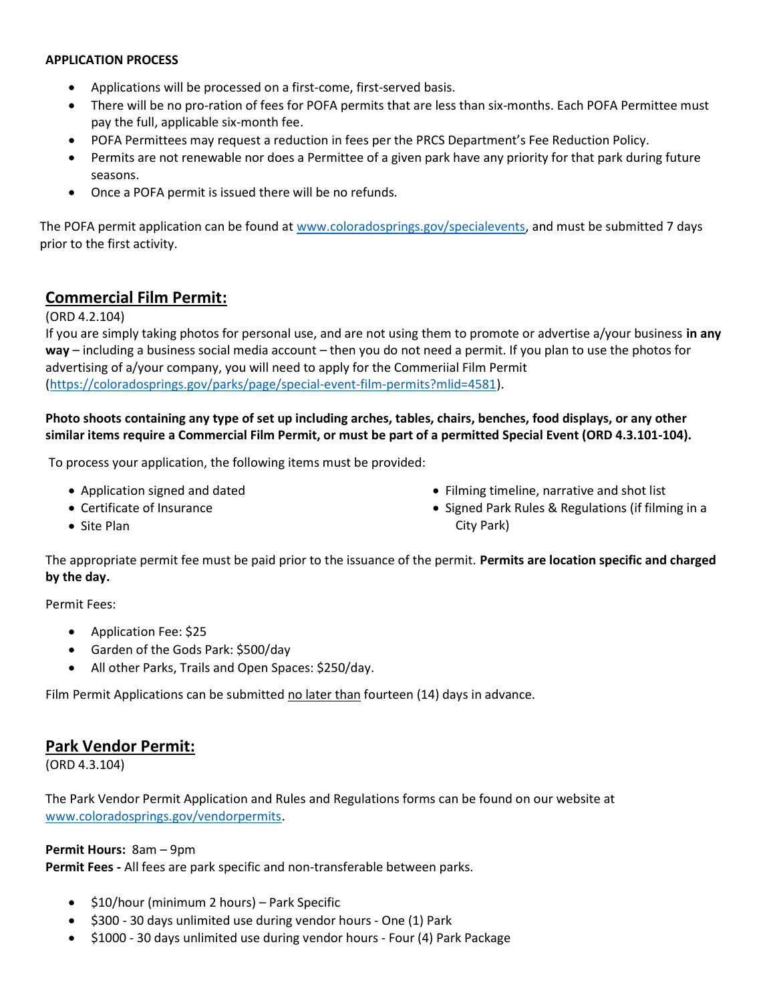#### APPLICATION PROCESS

- Applications will be processed on a first-come, first-served basis.
- There will be no pro-ration of fees for POFA permits that are less than six-months. Each POFA Permittee must pay the full, applicable six-month fee.
- POFA Permittees may request a reduction in fees per the PRCS Department's Fee Reduction Policy.
- Permits are not renewable nor does a Permittee of a given park have any priority for that park during future seasons.
- Once a POFA permit is issued there will be no refunds.

The POFA permit application can be found at www.coloradosprings.gov/specialevents, and must be submitted 7 days prior to the first activity.

### Commercial Film Permit:

#### (ORD 4.2.104)

If you are simply taking photos for personal use, and are not using them to promote or advertise a/your business in any way – including a business social media account – then you do not need a permit. If you plan to use the photos for advertising of a/your company, you will need to apply for the Commeriial Film Permit (https://coloradosprings.gov/parks/page/special-event-film-permits?mlid=4581).

### Photo shoots containing any type of set up including arches, tables, chairs, benches, food displays, or any other similar items require a Commercial Film Permit, or must be part of a permitted Special Event (ORD 4.3.101-104).

To process your application, the following items must be provided:

- Application signed and dated
- Certificate of Insurance
- Filming timeline, narrative and shot list
- Signed Park Rules & Regulations (if filming in a City Park)

• Site Plan

The appropriate permit fee must be paid prior to the issuance of the permit. Permits are location specific and charged by the day.

Permit Fees:

- Application Fee: \$25
- Garden of the Gods Park: \$500/day
- All other Parks, Trails and Open Spaces: \$250/day.

Film Permit Applications can be submitted no later than fourteen (14) days in advance.

### Park Vendor Permit:

(ORD 4.3.104)

The Park Vendor Permit Application and Rules and Regulations forms can be found on our website at www.coloradosprings.gov/vendorpermits.

#### Permit Hours: 8am – 9pm

Permit Fees - All fees are park specific and non-transferable between parks.

- \$10/hour (minimum 2 hours) Park Specific
- $\bullet$  \$300 30 days unlimited use during vendor hours One (1) Park
- \$1000 30 days unlimited use during vendor hours Four (4) Park Package